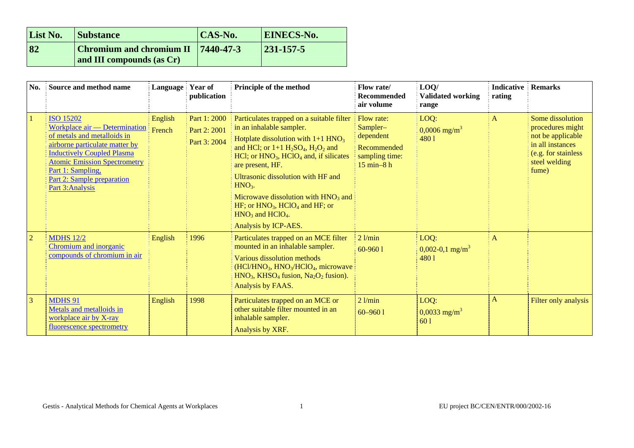| List No. | <b>Substance</b>                                                          | CAS-No. | <b>EINECS-No.</b> |
|----------|---------------------------------------------------------------------------|---------|-------------------|
| 82       | <b>Chromium and chromium II</b> $ 7440-47-3$<br>and III compounds (as Cr) |         | $ 231 - 157 - 5 $ |

| No.            | Source and method name                                                                                                                                                                                                                                                | Language Year of  | publication                                  | Principle of the method                                                                                                                                                                                                                                                                                                                                                                                                                                                                         | Flow rate/<br><b>Recommended</b><br>air volume                                              | LOQ/<br><b>Validated working</b><br>range     | <b>Indicative</b><br>rating | <b>Remarks</b>                                                                                                                  |
|----------------|-----------------------------------------------------------------------------------------------------------------------------------------------------------------------------------------------------------------------------------------------------------------------|-------------------|----------------------------------------------|-------------------------------------------------------------------------------------------------------------------------------------------------------------------------------------------------------------------------------------------------------------------------------------------------------------------------------------------------------------------------------------------------------------------------------------------------------------------------------------------------|---------------------------------------------------------------------------------------------|-----------------------------------------------|-----------------------------|---------------------------------------------------------------------------------------------------------------------------------|
|                | <b>ISO 15202</b><br>Workplace air - Determination<br>of metals and metalloids in<br>airborne particulate matter by<br><b>Inductively Coupled Plasma</b><br><b>Atomic Emission Spectrometry</b><br>Part 1: Sampling,<br>Part 2: Sample preparation<br>Part 3: Analysis | English<br>French | Part 1: 2000<br>Part 2: 2001<br>Part 3: 2004 | Particulates trapped on a suitable filter<br>in an inhalable sampler.<br>Hotplate dissolution with $1+1$ HNO <sub>3</sub><br>and HCl; or $1+1$ H <sub>2</sub> SO <sub>4</sub> , H <sub>2</sub> O <sub>2</sub> and<br>$HC1$ ; or $HNO3$ , $HClO4$ and, if silicates<br>are present, HF.<br>Ultrasonic dissolution with HF and<br>$HNO3$ .<br>Microwave dissolution with $HNO3$ and $\frac{1}{2}$<br>HF; or $HNO3$ , HClO <sub>4</sub> and HF; or<br>$HNO3$ and $HClO4$ .<br>Analysis by ICP-AES. | <b>Flow rate:</b><br>Sampler-<br>dependent<br>Recommended<br>sampling time:<br>$15$ min-8 h | LOQ:<br>$0,0006$ mg/m <sup>3</sup><br>4801    | $\mathbf{A}$                | Some dissolution<br>procedures might<br>not be applicable<br>in all instances<br>(e.g. for stainless)<br>steel welding<br>fume) |
| $\overline{2}$ | <b>MDHS</b> 12/2<br>Chromium and inorganic<br>compounds of chromium in air                                                                                                                                                                                            | English           | 1996                                         | Particulates trapped on an MCE filter<br>mounted in an inhalable sampler.<br>Various dissolution methods<br>(HCl/HNO <sub>3</sub> , HNO <sub>3</sub> /HClO <sub>4</sub> , microwave<br>$HNO3$ , KHSO <sub>4</sub> fusion, Na <sub>2</sub> O <sub>2</sub> fusion).<br>Analysis by FAAS.                                                                                                                                                                                                          | $2$ l/min<br>60-9601                                                                        | LOQ:<br>$0,002-0,1$ mg/m <sup>3</sup><br>4801 | $\mathbf{A}$                |                                                                                                                                 |
| $\overline{3}$ | <b>MDHS 91</b><br>Metals and metalloids in<br>workplace air by X-ray<br>fluorescence spectrometry                                                                                                                                                                     | English           | 1998                                         | Particulates trapped on an MCE or<br>other suitable filter mounted in an<br>inhalable sampler.<br>Analysis by XRF.                                                                                                                                                                                                                                                                                                                                                                              | $2$ l/min<br>$60 - 9601$                                                                    | LOQ:<br>$0,0033$ mg/m <sup>3</sup><br>60 1    | A                           | Filter only analysis                                                                                                            |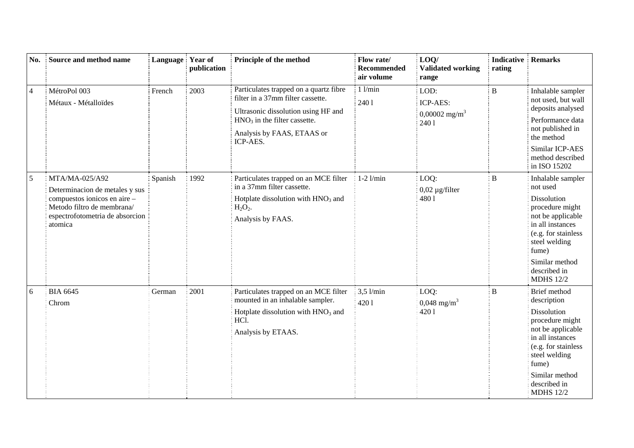| No.            | Source and method name                                                                                                                                       | Language Year of | publication | Principle of the method                                                                                                                                                                        | Flow rate/<br><b>Recommended</b><br>air volume | LOO/<br><b>Validated working</b><br>range               | <b>Indicative Remarks</b><br>rating |                                                                                                                                                                                                                 |
|----------------|--------------------------------------------------------------------------------------------------------------------------------------------------------------|------------------|-------------|------------------------------------------------------------------------------------------------------------------------------------------------------------------------------------------------|------------------------------------------------|---------------------------------------------------------|-------------------------------------|-----------------------------------------------------------------------------------------------------------------------------------------------------------------------------------------------------------------|
| $\overline{4}$ | MétroPol 003<br>Métaux - Métalloïdes                                                                                                                         | French           | 2003        | Particulates trapped on a quartz fibre<br>filter in a 37mm filter cassette.<br>Ultrasonic dissolution using HF and<br>$HNO3$ in the filter cassette.<br>Analysis by FAAS, ETAAS or<br>ICP-AES. | $1$ l/min<br>2401                              | LOD:<br>ICP-AES:<br>$0,00002$ mg/m <sup>3</sup><br>2401 | $\bf{B}$                            | Inhalable sampler<br>not used, but wall<br>deposits analysed<br>Performance data<br>not published in<br>the method<br>Similar ICP-AES<br>method described<br>in ISO 15202                                       |
| $\sqrt{5}$     | MTA/MA-025/A92<br>Determinacion de metales y sus<br>compuestos ionicos en aire -<br>Metodo filtro de membrana/<br>espectrofotometria de absorcion<br>atomica | Spanish          | 1992        | Particulates trapped on an MCE filter<br>in a 37mm filter cassette.<br>Hotplate dissolution with $HNO3$ and<br>$H_2O_2$ .<br>Analysis by FAAS.                                                 | $1-2$ $1/min$                                  | LOQ:<br>$0,02 \mu$ g/filter<br>4801                     | B                                   | Inhalable sampler<br>not used<br>Dissolution<br>procedure might<br>not be applicable<br>in all instances<br>(e.g. for stainless<br>steel welding<br>fume)<br>Similar method<br>described in<br><b>MDHS 12/2</b> |
| 6              | <b>BIA 6645</b><br>Chrom                                                                                                                                     | German           | 2001        | Particulates trapped on an MCE filter<br>mounted in an inhalable sampler.<br>Hotplate dissolution with $HNO3$ and<br>HCl.<br>Analysis by ETAAS.                                                | $3,5$ l/min<br>4201                            | LOQ:<br>$0,048 \text{ mg/m}^3$<br>4201                  | $\bf{B}$                            | Brief method<br>description<br>Dissolution<br>procedure might<br>not be applicable<br>in all instances<br>(e.g. for stainless<br>steel welding<br>fume)<br>Similar method<br>described in<br><b>MDHS 12/2</b>   |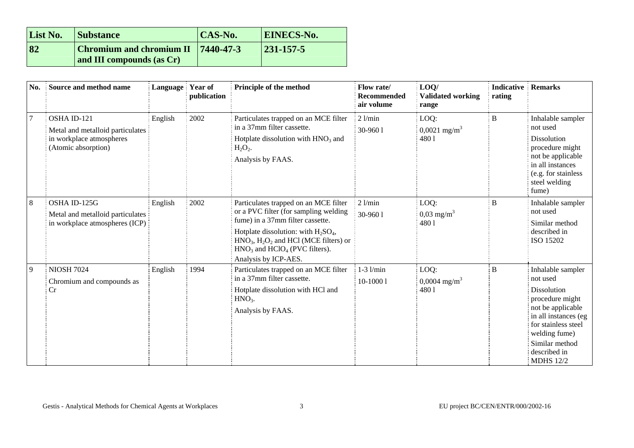| List No. | <b>Substance</b>                                                          | CAS-No. | <b>EINECS-No.</b> |
|----------|---------------------------------------------------------------------------|---------|-------------------|
| 82       | <b>Chromium and chromium II</b> $ 7440-47-3$<br>and III compounds (as Cr) |         | $ 231 - 157 - 5 $ |

| No.     | Source and method name                                                                             | Language Year of | publication | Principle of the method                                                                                                                                                                                                                                            | Flow rate/<br><b>Recommended</b><br>air volume | LOO/<br><b>Validated working</b><br>range | <b>Indicative</b><br>rating | <b>Remarks</b>                                                                                                                                                                                                    |
|---------|----------------------------------------------------------------------------------------------------|------------------|-------------|--------------------------------------------------------------------------------------------------------------------------------------------------------------------------------------------------------------------------------------------------------------------|------------------------------------------------|-------------------------------------------|-----------------------------|-------------------------------------------------------------------------------------------------------------------------------------------------------------------------------------------------------------------|
|         | OSHA ID-121<br>Metal and metalloid particulates<br>in workplace atmospheres<br>(Atomic absorption) | English          | 2002        | Particulates trapped on an MCE filter<br>in a 37mm filter cassette.<br>Hotplate dissolution with $HNO3$ and<br>$H_2O_2.$<br>Analysis by FAAS.                                                                                                                      | $2$ l/min<br>30-9601                           | LOQ:<br>$0,0021 \text{ mg/m}^3$<br>4801   | $\, {\bf B}$                | Inhalable sampler<br>not used<br><b>Dissolution</b><br>procedure might<br>not be applicable<br>in all instances<br>(e.g. for stainless<br>steel welding<br>fume)                                                  |
| $\,8\,$ | OSHA ID-125G<br>Metal and metalloid particulates<br>in workplace atmospheres (ICP)                 | English          | 2002        | Particulates trapped on an MCE filter<br>or a PVC filter (for sampling welding<br>fume) in a 37mm filter cassette.<br>Hotplate dissolution: with $H_2SO_4$ ,<br>$HNO3, H2O2$ and HCl (MCE filters) or<br>$HNO3$ and $HClO4$ (PVC filters).<br>Analysis by ICP-AES. | $2$ l/min<br>30-9601                           | LOQ:<br>$0,03 \text{ mg/m}^3$<br>4801     | B                           | Inhalable sampler<br>not used<br>Similar method<br>described in<br>ISO 15202                                                                                                                                      |
| 9       | <b>NIOSH 7024</b><br>Chromium and compounds as<br>Cr                                               | English          | 1994        | Particulates trapped on an MCE filter<br>in a 37mm filter cassette.<br>Hotplate dissolution with HCl and<br>$HNO3$ .<br>Analysis by FAAS.                                                                                                                          | $1-3$ $1/min$<br>10-10001                      | LOQ:<br>$0,0004 \text{ mg/m}^3$<br>4801   | įВ                          | Inhalable sampler<br>not used<br><b>Dissolution</b><br>procedure might<br>not be applicable<br>in all instances (eg<br>for stainless steel<br>welding fume)<br>Similar method<br>described in<br><b>MDHS</b> 12/2 |